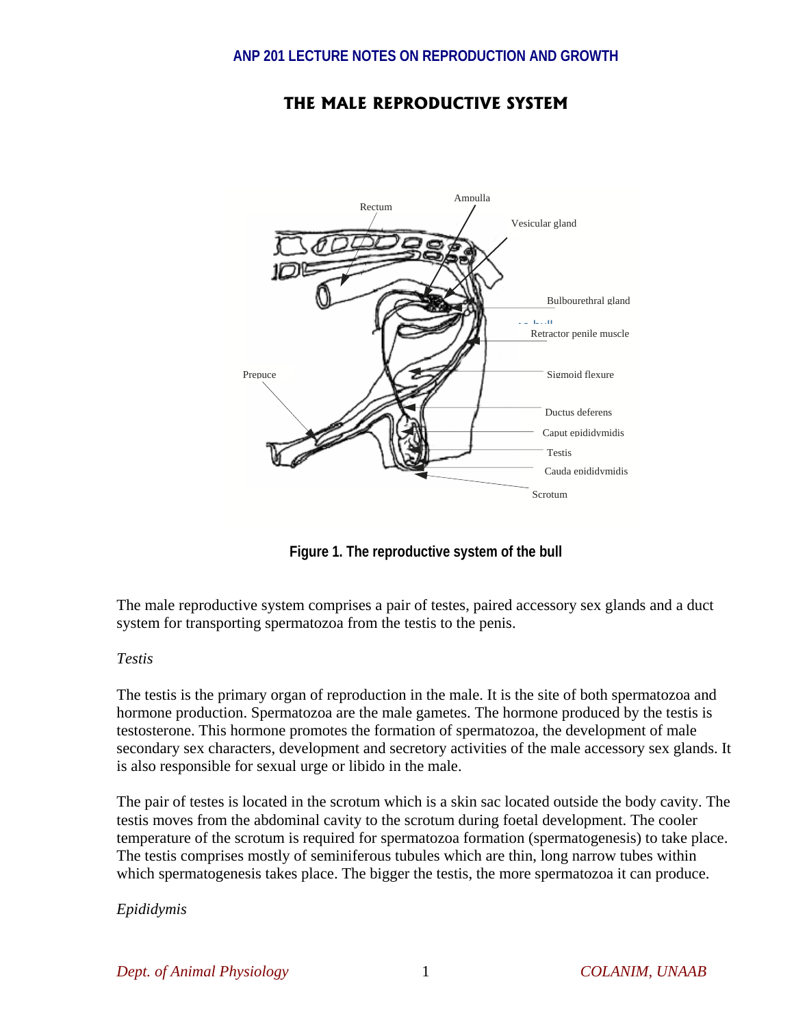# **THE MALE REPRODUCTIVE SYSTEM**



**Figure 1. The reproductive system of the bull** 

The male reproductive system comprises a pair of testes, paired accessory sex glands and a duct system for transporting spermatozoa from the testis to the penis.

# *Testis*

The testis is the primary organ of reproduction in the male. It is the site of both spermatozoa and hormone production. Spermatozoa are the male gametes. The hormone produced by the testis is testosterone. This hormone promotes the formation of spermatozoa, the development of male secondary sex characters, development and secretory activities of the male accessory sex glands. It is also responsible for sexual urge or libido in the male.

The pair of testes is located in the scrotum which is a skin sac located outside the body cavity. The testis moves from the abdominal cavity to the scrotum during foetal development. The cooler temperature of the scrotum is required for spermatozoa formation (spermatogenesis) to take place. The testis comprises mostly of seminiferous tubules which are thin, long narrow tubes within which spermatogenesis takes place. The bigger the testis, the more spermatozoa it can produce.

# *Epididymis*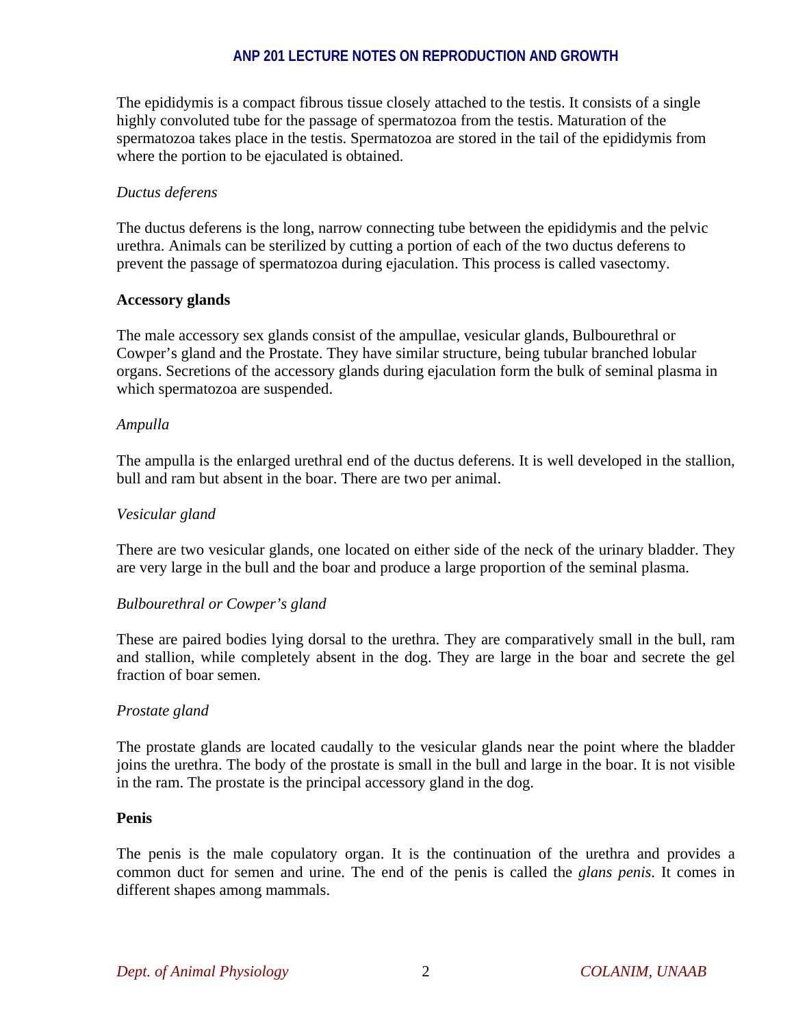The epididymis is a compact fibrous tissue closely attached to the testis. It consists of a single highly convoluted tube for the passage of spermatozoa from the testis. Maturation of the spermatozoa takes place in the testis. Spermatozoa are stored in the tail of the epididymis from where the portion to be ejaculated is obtained.

#### *Ductus deferens*

The ductus deferens is the long, narrow connecting tube between the epididymis and the pelvic urethra. Animals can be sterilized by cutting a portion of each of the two ductus deferens to prevent the passage of spermatozoa during ejaculation. This process is called vasectomy.

## **Accessory glands**

The male accessory sex glands consist of the ampullae, vesicular glands, Bulbourethral or Cowper's gland and the Prostate. They have similar structure, being tubular branched lobular organs. Secretions of the accessory glands during ejaculation form the bulk of seminal plasma in which spermatozoa are suspended.

#### *Ampulla*

The ampulla is the enlarged urethral end of the ductus deferens. It is well developed in the stallion, bull and ram but absent in the boar. There are two per animal.

#### *Vesicular gland*

There are two vesicular glands, one located on either side of the neck of the urinary bladder. They are very large in the bull and the boar and produce a large proportion of the seminal plasma.

#### *Bulbourethral or Cowper's gland*

These are paired bodies lying dorsal to the urethra. They are comparatively small in the bull, ram and stallion, while completely absent in the dog. They are large in the boar and secrete the gel fraction of boar semen.

#### *Prostate gland*

The prostate glands are located caudally to the vesicular glands near the point where the bladder joins the urethra. The body of the prostate is small in the bull and large in the boar. It is not visible in the ram. The prostate is the principal accessory gland in the dog.

#### **Penis**

The penis is the male copulatory organ. It is the continuation of the urethra and provides a common duct for semen and urine. The end of the penis is called the *glans penis*. It comes in different shapes among mammals.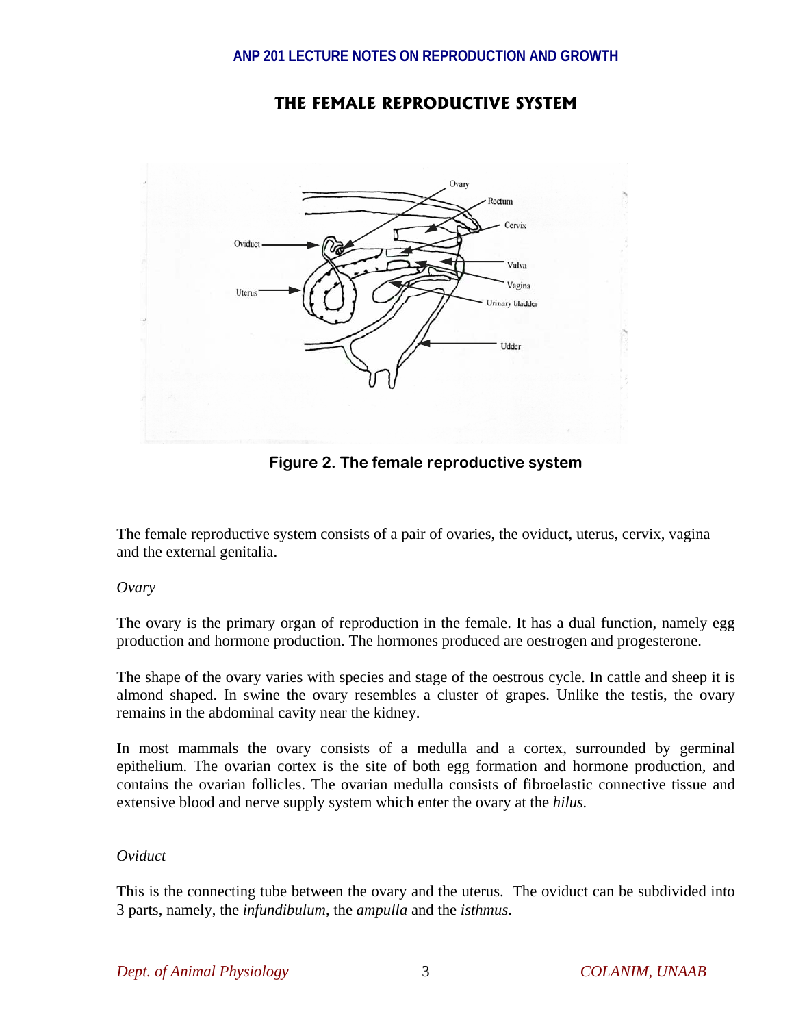

# **THE FEMALE REPRODUCTIVE SYSTEM**

**Figure 2. The female reproductive system** 

The female reproductive system consists of a pair of ovaries, the oviduct, uterus, cervix, vagina and the external genitalia.

*Ovary* 

The ovary is the primary organ of reproduction in the female. It has a dual function, namely egg production and hormone production. The hormones produced are oestrogen and progesterone.

The shape of the ovary varies with species and stage of the oestrous cycle. In cattle and sheep it is almond shaped. In swine the ovary resembles a cluster of grapes. Unlike the testis, the ovary remains in the abdominal cavity near the kidney.

In most mammals the ovary consists of a medulla and a cortex, surrounded by germinal epithelium. The ovarian cortex is the site of both egg formation and hormone production, and contains the ovarian follicles. The ovarian medulla consists of fibroelastic connective tissue and extensive blood and nerve supply system which enter the ovary at the *hilus.* 

# *Oviduct*

This is the connecting tube between the ovary and the uterus. The oviduct can be subdivided into 3 parts, namely, the *infundibulum*, the *ampulla* and the *isthmus*.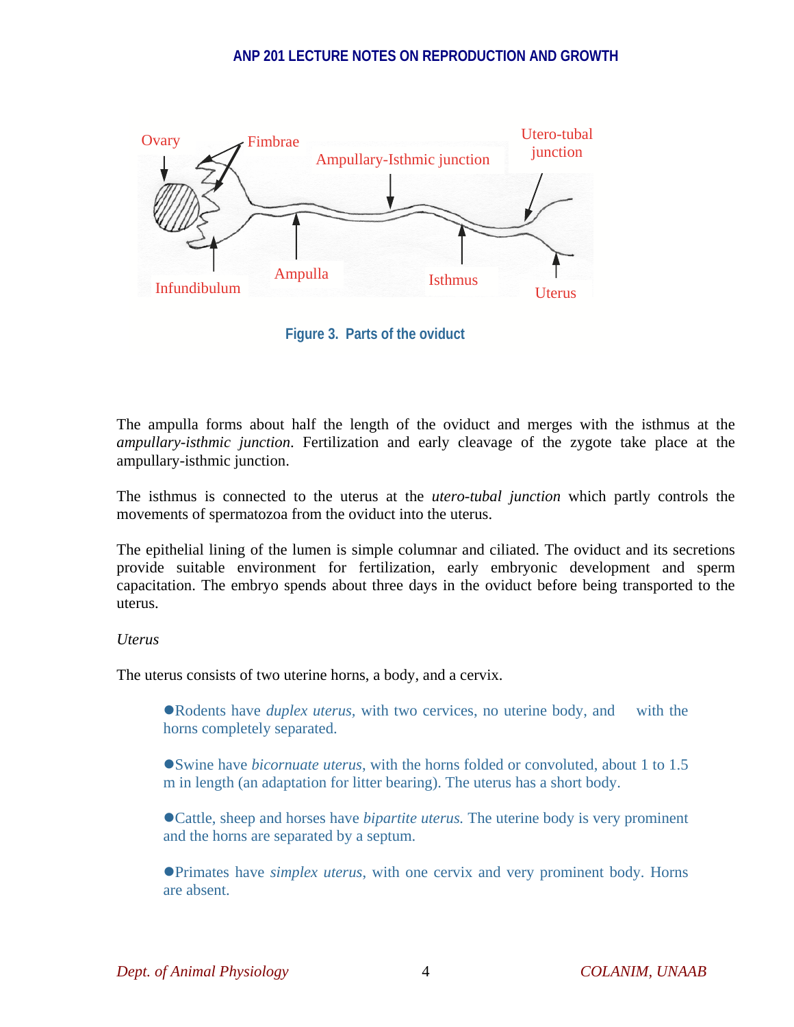

**Figure 3. Parts of the oviduct** 

The ampulla forms about half the length of the oviduct and merges with the isthmus at the *ampullary-isthmic junction*. Fertilization and early cleavage of the zygote take place at the ampullary-isthmic junction.

The isthmus is connected to the uterus at the *utero-tubal junction* which partly controls the movements of spermatozoa from the oviduct into the uterus.

The epithelial lining of the lumen is simple columnar and ciliated. The oviduct and its secretions provide suitable environment for fertilization, early embryonic development and sperm capacitation. The embryo spends about three days in the oviduct before being transported to the uterus.

# *Uterus*

The uterus consists of two uterine horns, a body, and a cervix.

• Rodents have *duplex uterus*, with two cervices, no uterine body, and with the horns completely separated.

**S**wine have *bicornuate uterus*, with the horns folded or convoluted, about 1 to 1.5 m in length (an adaptation for litter bearing). The uterus has a short body.

• Cattle, sheep and horses have *bipartite uterus*. The uterine body is very prominent and the horns are separated by a septum.

**Primates have** *simplex uterus*, with one cervix and very prominent body. Horns are absent.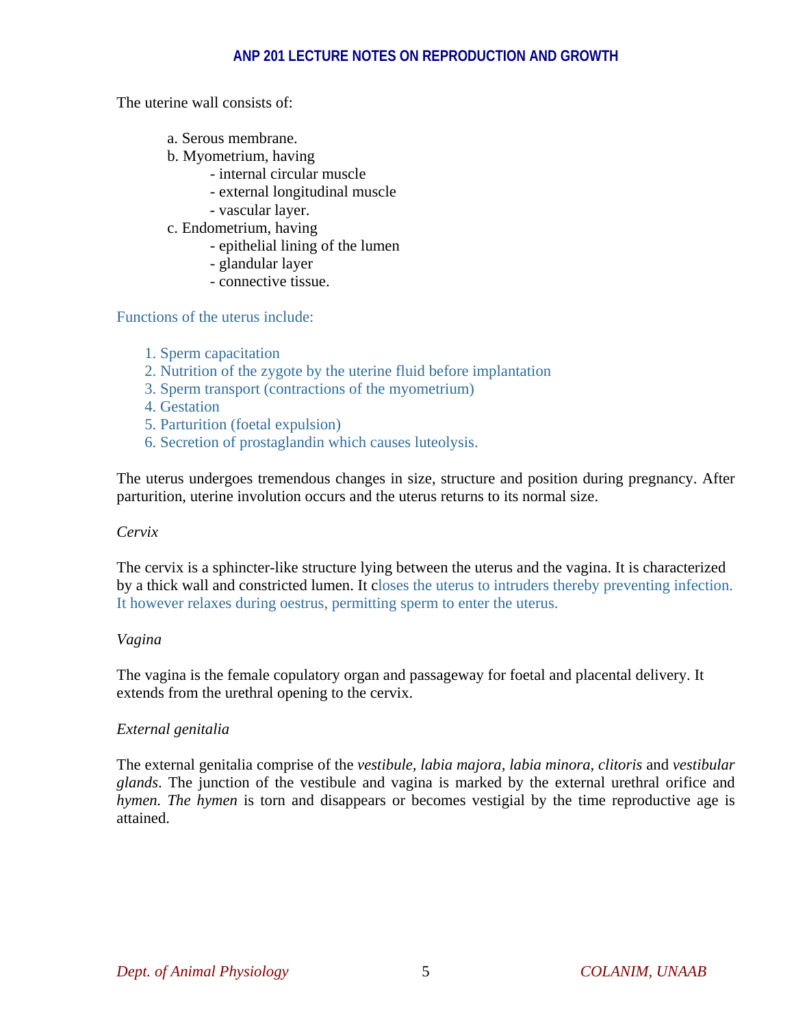The uterine wall consists of:

- a. Serous membrane.
- b. Myometrium, having
	- internal circular muscle
	- external longitudinal muscle
	- vascular layer.
- c. Endometrium, having
	- epithelial lining of the lumen
	- glandular layer
	- connective tissue.

Functions of the uterus include:

- 1. Sperm capacitation
- 2. Nutrition of the zygote by the uterine fluid before implantation
- 3. Sperm transport (contractions of the myometrium)
- 4. Gestation
- 5. Parturition (foetal expulsion)
- 6. Secretion of prostaglandin which causes luteolysis.

The uterus undergoes tremendous changes in size, structure and position during pregnancy. After parturition, uterine involution occurs and the uterus returns to its normal size.

#### *Cervix*

The cervix is a sphincter-like structure lying between the uterus and the vagina. It is characterized by a thick wall and constricted lumen. It closes the uterus to intruders thereby preventing infection. It however relaxes during oestrus, permitting sperm to enter the uterus.

#### *Vagina*

The vagina is the female copulatory organ and passageway for foetal and placental delivery. It extends from the urethral opening to the cervix.

# *External genitalia*

The external genitalia comprise of the *vestibule, labia majora, labia minora, clitoris* and *vestibular glands*. The junction of the vestibule and vagina is marked by the external urethral orifice and *hymen. The hymen* is torn and disappears or becomes vestigial by the time reproductive age is attained.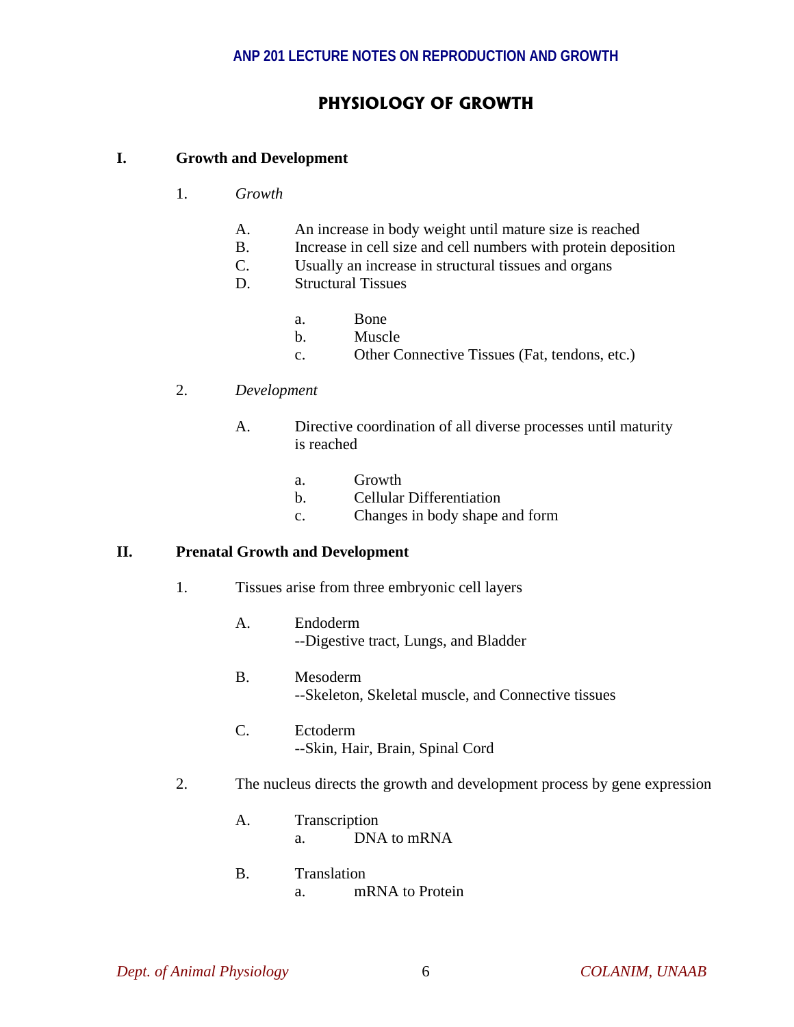# **PHYSIOLOGY OF GROWTH**

# **I. Growth and Development**

- 1. *Growth*
	- A. An increase in body weight until mature size is reached
	- B. Increase in cell size and cell numbers with protein deposition
	- C. Usually an increase in structural tissues and organs
	- D. Structural Tissues
- a. Bone
	- b. Muscle
	- c. Other Connective Tissues (Fat, tendons, etc.)
	- 2. *Development*
		- A. Directive coordination of all diverse processes until maturity is reached
			- a. Growth
			- b. Cellular Differentiation
			- c. Changes in body shape and form

#### **II. Prenatal Growth and Development**

- 1. Tissues arise from three embryonic cell layers
	- A. Endoderm --Digestive tract, Lungs, and Bladder
	- B. Mesoderm --Skeleton, Skeletal muscle, and Connective tissues
	- C. Ectoderm --Skin, Hair, Brain, Spinal Cord
- 2. The nucleus directs the growth and development process by gene expression
	- A. Transcription a. DNA to mRNA
	- B. Translation a. mRNA to Protein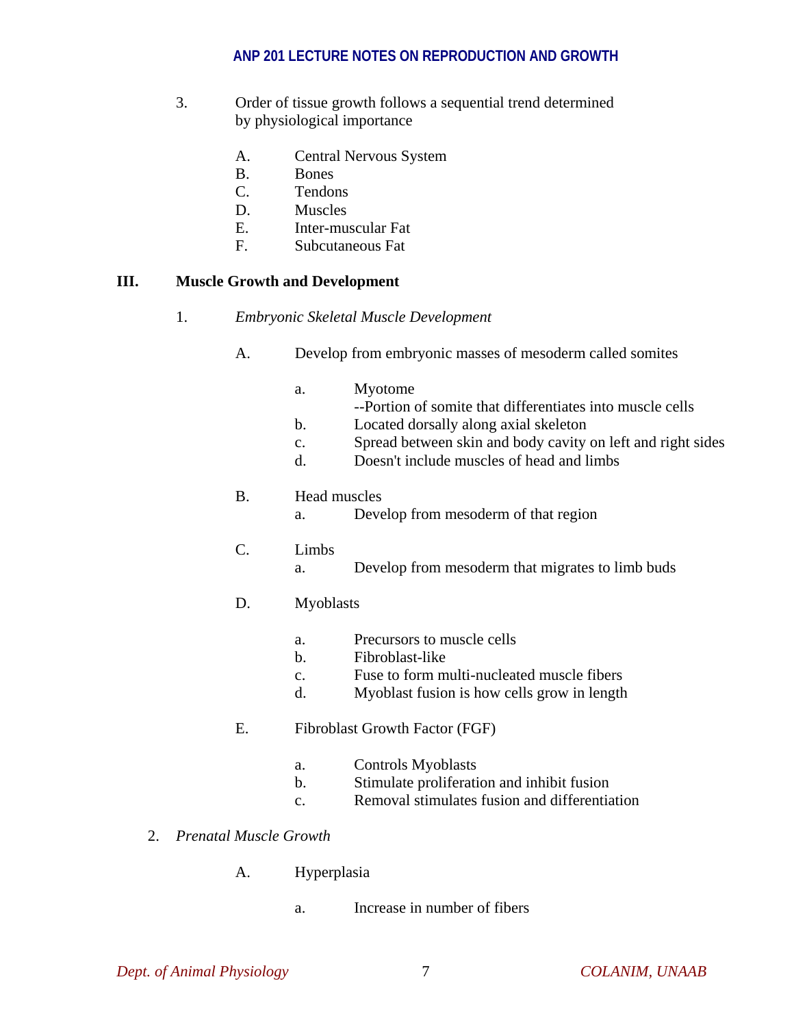- 3. Order of tissue growth follows a sequential trend determined by physiological importance
	- A. Central Nervous System
	- B. Bones
	- C. Tendons
	- D. Muscles
	- E. Inter-muscular Fat
	- F. Subcutaneous Fat

#### **III. Muscle Growth and Development**

- 1. *Embryonic Skeletal Muscle Development*
	- A. Develop from embryonic masses of mesoderm called somites
		- a. Myotome
			- --Portion of somite that differentiates into muscle cells
		- b. Located dorsally along axial skeleton
		- c. Spread between skin and body cavity on left and right sides
		- d. Doesn't include muscles of head and limbs

## B. Head muscles

a. Develop from mesoderm of that region

# C. Limbs

a. Develop from mesoderm that migrates to limb buds

# D. Myoblasts

- a. Precursors to muscle cells
- b. Fibroblast-like
- c. Fuse to form multi-nucleated muscle fibers
- d. Myoblast fusion is how cells grow in length
- E. Fibroblast Growth Factor (FGF)
	- a. Controls Myoblasts
	- b. Stimulate proliferation and inhibit fusion
	- c. Removal stimulates fusion and differentiation
- 2. *Prenatal Muscle Growth* 
	- A. Hyperplasia
		- a. Increase in number of fibers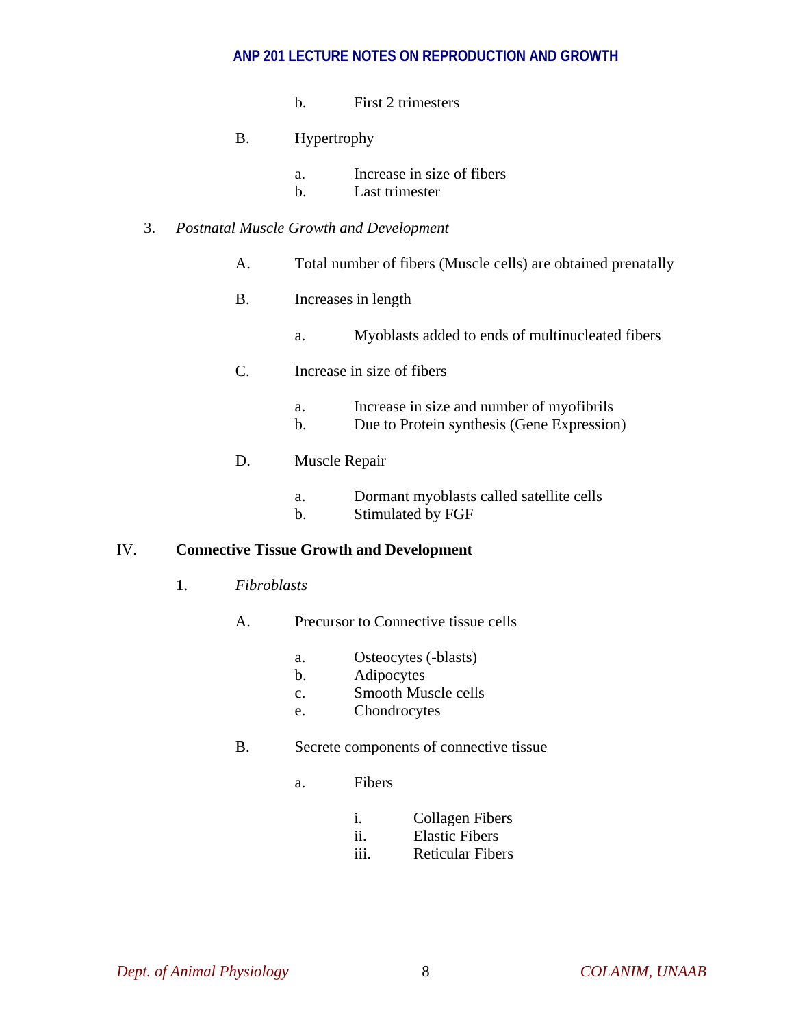- b. First 2 trimesters
- B. Hypertrophy
	- a. Increase in size of fibers
	- b. Last trimester

# 3. *Postnatal Muscle Growth and Development*

- A. Total number of fibers (Muscle cells) are obtained prenatally
- B. Increases in length
	- a. Myoblasts added to ends of multinucleated fibers
- C. Increase in size of fibers
	- a. Increase in size and number of myofibrils
	- b. Due to Protein synthesis (Gene Expression)
- D. Muscle Repair
	- a. Dormant myoblasts called satellite cells
	- b. Stimulated by FGF

# IV. **Connective Tissue Growth and Development**

- 1. *Fibroblasts*
	- A. Precursor to Connective tissue cells
		- a. Osteocytes (-blasts)
		- b. Adipocytes
		- c. Smooth Muscle cells
		- e. Chondrocytes
	- B. Secrete components of connective tissue
		- a. Fibers
			- i. Collagen Fibers
			- ii. Elastic Fibers
			- iii. Reticular Fibers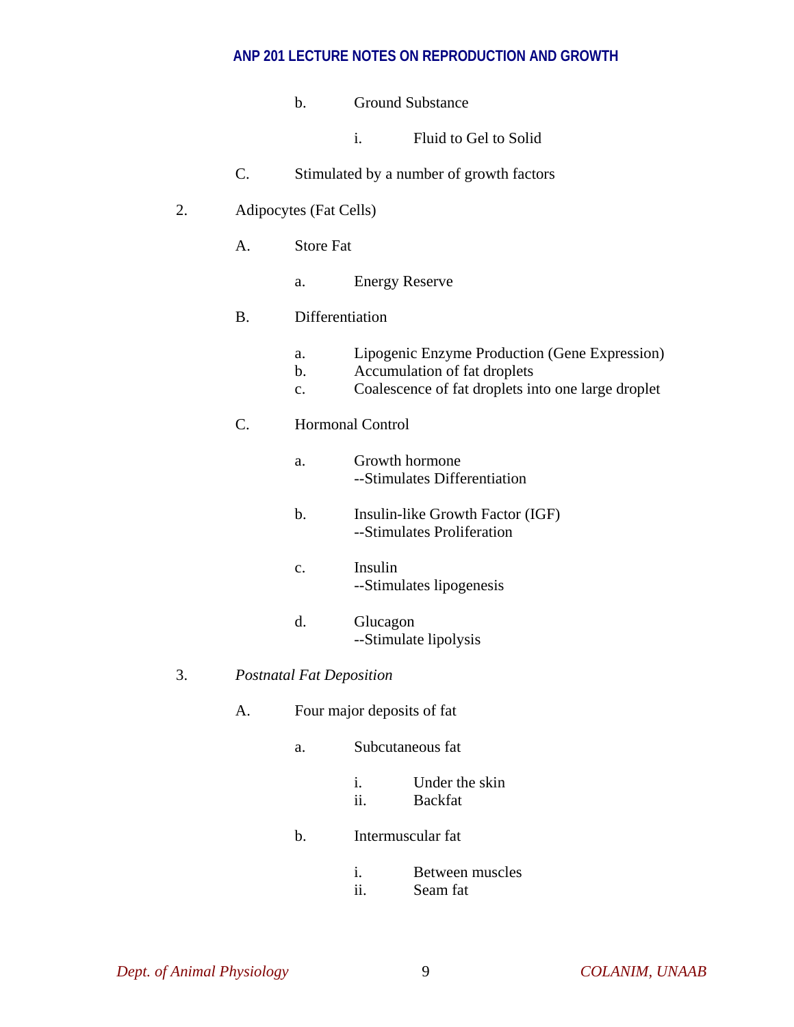- b. Ground Substance
	- i. Fluid to Gel to Solid
- C. Stimulated by a number of growth factors
- 2. Adipocytes (Fat Cells)
	- A. Store Fat
		- a. Energy Reserve

## B. Differentiation

- a. Lipogenic Enzyme Production (Gene Expression)
- b. Accumulation of fat droplets
- c. Coalescence of fat droplets into one large droplet

# C. Hormonal Control

- a. Growth hormone --Stimulates Differentiation
- b. Insulin-like Growth Factor (IGF) --Stimulates Proliferation
- c. Insulin --Stimulates lipogenesis
- d. Glucagon --Stimulate lipolysis
- 3. *Postnatal Fat Deposition* 
	- A. Four major deposits of fat
		- a. Subcutaneous fat
			- i. Under the skin ii. Backfat
		- b. Intermuscular fat
			- i. Between muscles ii. Seam fat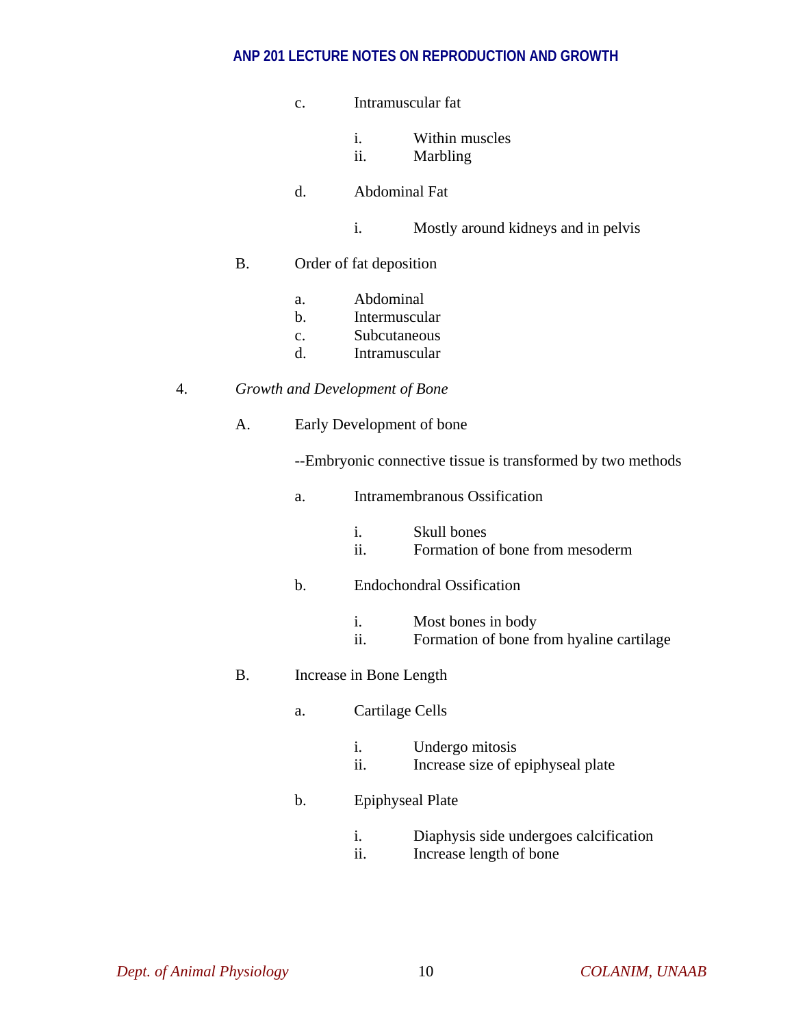- c. Intramuscular fat
	- i. Within muscles
	- ii. Marbling
- d. Abdominal Fat
	- i. Mostly around kidneys and in pelvis

## B. Order of fat deposition

- a. Abdominal
- b. Intermuscular
- c. Subcutaneous
- d. Intramuscular

## 4. *Growth and Development of Bone*

A. Early Development of bone

--Embryonic connective tissue is transformed by two methods

a. Intramembranous Ossification

|                      | Skull bones                     |
|----------------------|---------------------------------|
| $\ddot{\phantom{0}}$ | Formation of bone from mesoderm |

# b. Endochondral Ossification

- i. Most bones in body
- ii. Formation of bone from hyaline cartilage

# B. Increase in Bone Length

- a. Cartilage Cells
	- i. Undergo mitosis
	- ii. Increase size of epiphyseal plate

# b. Epiphyseal Plate

- i. Diaphysis side undergoes calcification
- ii. Increase length of bone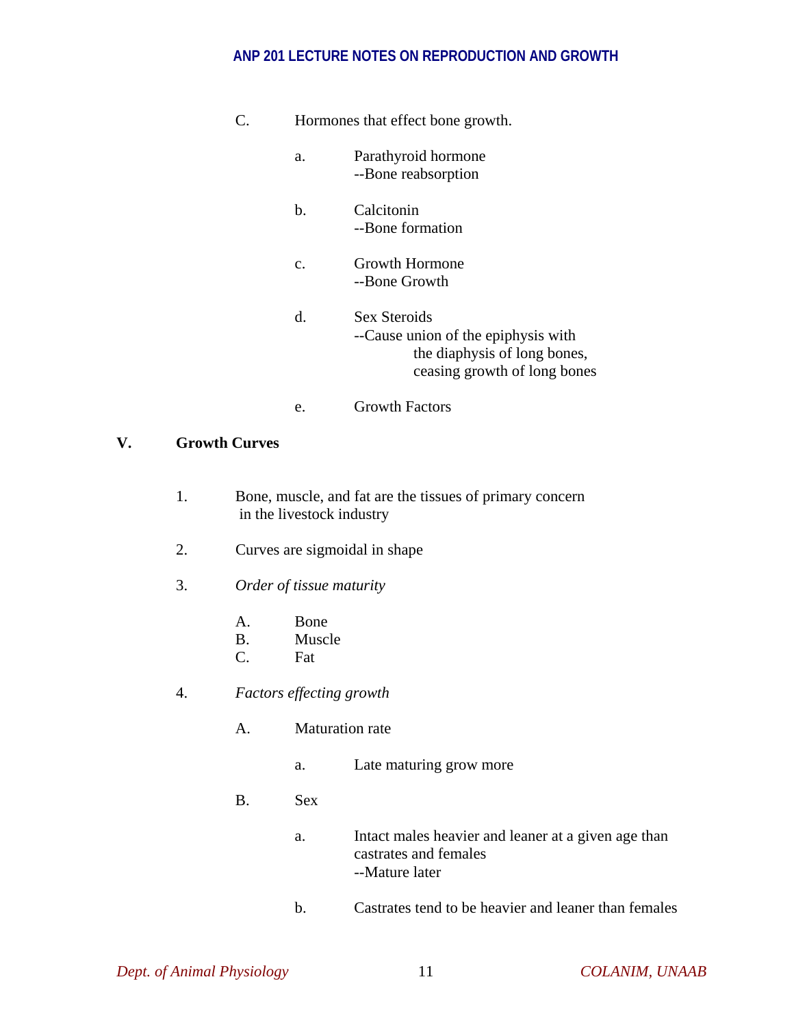| C. |                | Hormones that effect bone growth.                                                                                   |
|----|----------------|---------------------------------------------------------------------------------------------------------------------|
|    | a.             | Parathyroid hormone<br>--Bone reabsorption                                                                          |
|    | b.             | Calcitonin<br>--Bone formation                                                                                      |
|    | $\mathbf{c}$ . | Growth Hormone<br>--Bone Growth                                                                                     |
|    | d.             | Sex Steroids<br>--Cause union of the epiphysis with<br>the diaphysis of long bones,<br>ceasing growth of long bones |
|    | e.             | <b>Growth Factors</b>                                                                                               |

#### **V. Growth Curves**

- 1. Bone, muscle, and fat are the tissues of primary concern in the livestock industry
- 2. Curves are sigmoidal in shape
- 3. *Order of tissue maturity*
	- A. Bone
	- B. Muscle
	- C. Fat
- 4. *Factors effecting growth*
	- A. Maturation rate
		- a. Late maturing grow more
	- B. Sex
		- a. Intact males heavier and leaner at a given age than castrates and females --Mature later
		- b. Castrates tend to be heavier and leaner than females